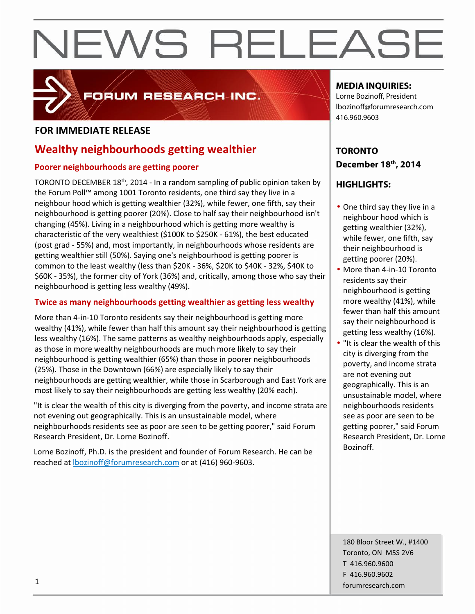

## FORUM RESEARCH INC.

### **FOR IMMEDIATE RELEASE**

## **Wealthy neighbourhoods getting wealthier**

### **Poorer neighbourhoods are getting poorer**

TORONTO DECEMBER 18<sup>th</sup>, 2014 - In a random sampling of public opinion taken by the Forum Poll™ among 1001 Toronto residents, one third say they live in a neighbour hood which is getting wealthier (32%), while fewer, one fifth, say their neighbourhood is getting poorer (20%). Close to half say their neighbourhood isn't changing (45%). Living in a neighbourhood which is getting more wealthy is characteristic of the very wealthiest (\$100K to \$250K - 61%), the best educated (post grad - 55%) and, most importantly, in neighbourhoods whose residents are getting wealthier still (50%). Saying one's neighbourhood is getting poorer is common to the least wealthy (less than \$20K - 36%, \$20K to \$40K - 32%, \$40K to \$60K - 35%), the former city of York (36%) and, critically, among those who say their neighbourhood is getting less wealthy (49%).

### **Twice as many neighbourhoods getting wealthier as getting less wealthy**

More than 4-in-10 Toronto residents say their neighbourhood is getting more wealthy (41%), while fewer than half this amount say their neighbourhood is getting less wealthy (16%). The same patterns as wealthy neighbourhoods apply, especially as those in more wealthy neighbourhoods are much more likely to say their neighbourhood is getting wealthier (65%) than those in poorer neighbourhoods (25%). Those in the Downtown (66%) are especially likely to say their neighbourhoods are getting wealthier, while those in Scarborough and East York are most likely to say their neighbourhoods are getting less wealthy (20% each).

"It is clear the wealth of this city is diverging from the poverty, and income strata are not evening out geographically. This is an unsustainable model, where neighbourhoods residents see as poor are seen to be getting poorer," said Forum Research President, Dr. Lorne Bozinoff.

Lorne Bozinoff, Ph.D. is the president and founder of Forum Research. He can be reached at lbozinoff@forumresearch.com or at (416) 960-9603.

### **MEDIA INQUIRIES:**

Lorne Bozinoff, President lbozinoff@forumresearch.com 416.960.9603

## **TORONTO December 18th, 2014**

## **HIGHLIGHTS:**

- One third say they live in a neighbour hood which is getting wealthier (32%), while fewer, one fifth, say their neighbourhood is getting poorer (20%).
- More than 4-in-10 Toronto residents say their neighbourhood is getting more wealthy (41%), while fewer than half this amount say their neighbourhood is getting less wealthy (16%).
- "It is clear the wealth of this city is diverging from the poverty, and income strata are not evening out geographically. This is an unsustainable model, where neighbourhoods residents see as poor are seen to be getting poorer," said Forum Research President, Dr. Lorne Bozinoff.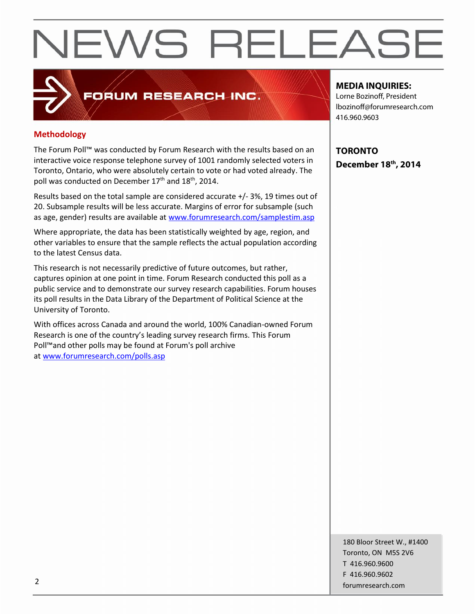### **Methodology**

The Forum Poll™ was conducted by Forum Research with the results based on an interactive voice response telephone survey of 1001 randomly selected voters in Toronto, Ontario, who were absolutely certain to vote or had voted already. The poll was conducted on December 17<sup>th</sup> and 18<sup>th</sup>, 2014.

FORUM RESEARCH INC.

Results based on the total sample are considered accurate +/-3%, 19 times out of 20. Subsample results will be less accurate. Margins of error for subsample (such as age, gender) results are available at www.forumresearch.com/samplestim.asp

Where appropriate, the data has been statistically weighted by age, region, and other variables to ensure that the sample reflects the actual population according to the latest Census data.

This research is not necessarily predictive of future outcomes, but rather, captures opinion at one point in time. Forum Research conducted this poll as a public service and to demonstrate our survey research capabilities. Forum houses its poll results in the Data Library of the Department of Political Science at the University of Toronto.

With offices across Canada and around the world, 100% Canadian-owned Forum Research is one of the country's leading survey research firms. This Forum Poll™and other polls may be found at Forum's poll archive at www.forumresearch.com/polls.asp

#### **MEDIA INQUIRIES:**

Lorne Bozinoff, President lbozinoff@forumresearch.com 416.960.9603

**TORONTO December 18th, 2014**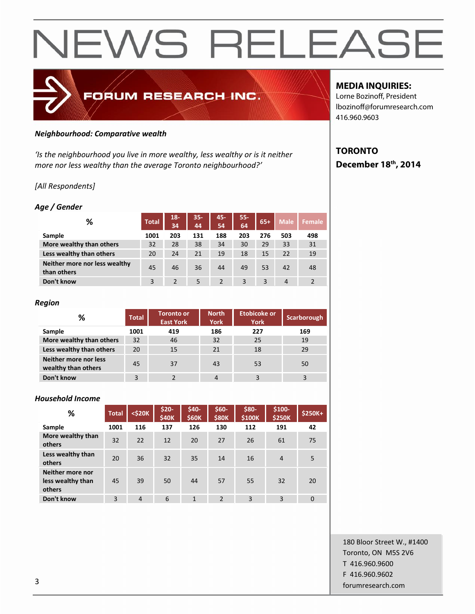

#### *Neighbourhood: Comparative wealth*

*'Is the neighbourhood you live in more wealthy, less wealthy or is it neither more nor less wealthy than the average Toronto neighbourhood?'*

#### *[All Respondents]*

#### *Age / Gender*

| ℅                                            | <b>Total</b> | $18-$<br>34 | $35 -$<br>44 | 45-<br>54 | 55-<br>64 | $65+$ | <b>Male</b>    | <b>Female</b>  |
|----------------------------------------------|--------------|-------------|--------------|-----------|-----------|-------|----------------|----------------|
| Sample                                       | 1001         | 203         | 131          | 188       | 203       | 276   | 503            | 498            |
| More wealthy than others                     | 32           | 28          | 38           | 34        | 30        | 29    | 33             | 31             |
| Less wealthy than others                     | 20           | 24          | 21           | 19        | 18        | 15    | 22             | 19             |
| Neither more nor less wealthy<br>than others | 45           | 46          | 36           | 44        | 49        | 53    | 42             | 48             |
| Don't know                                   | 3            |             | 5            | 2         | 3         | 3     | $\overline{4}$ | $\overline{2}$ |

#### *Region*

| %                                            | <b>Total</b> | <b>Toronto or</b><br><b>East York</b> | <b>North</b><br><b>York</b> | <b>Etobicoke or</b><br><b>York</b> | Scarborough |
|----------------------------------------------|--------------|---------------------------------------|-----------------------------|------------------------------------|-------------|
| Sample                                       | 1001         | 419                                   | 186                         | 227                                | 169         |
| More wealthy than others                     | 32           | 46                                    | 32                          | 25                                 | 19          |
| Less wealthy than others                     | 20           | 15                                    | 21                          | 18                                 | 29          |
| Neither more nor less<br>wealthy than others | 45           | 37                                    | 43                          | 53                                 | 50          |
| Don't know                                   | 3            |                                       | 4                           | 3                                  | 3           |

#### *Household Income*

| %                                               | <b>Total</b> | $<$ \$20 $K$   | \$20-<br><b>\$40K</b> | \$40-<br>\$60K | \$60-<br><b>\$80K</b> | \$80-<br>\$100K | $$100-$<br><b>\$250K</b> | \$250K+      |
|-------------------------------------------------|--------------|----------------|-----------------------|----------------|-----------------------|-----------------|--------------------------|--------------|
| Sample                                          | 1001         | 116            | 137                   | 126            | 130                   | 112             | 191                      | 42           |
| More wealthy than<br>others                     | 32           | 22             | 12                    | 20             | 27                    | 26              | 61                       | 75           |
| Less wealthy than<br>others                     | 20           | 36             | 32                    | 35             | 14                    | 16              | $\overline{4}$           | 5            |
| Neither more nor<br>less wealthy than<br>others | 45           | 39             | 50                    | 44             | 57                    | 55              | 32                       | 20           |
| Don't know                                      | 3            | $\overline{4}$ | 6                     | 1              | $\overline{2}$        | 3               | 3                        | $\mathbf{0}$ |

180 Bloor Street W., #1400 Toronto, ON M5S 2V6 T 416.960.9600 F 416.960.9602 forumresearch.com 3

#### **MEDIA INQUIRIES:**

Lorne Bozinoff, President lbozinoff@forumresearch.com 416.960.9603

## **TORONTO December 18th, 2014**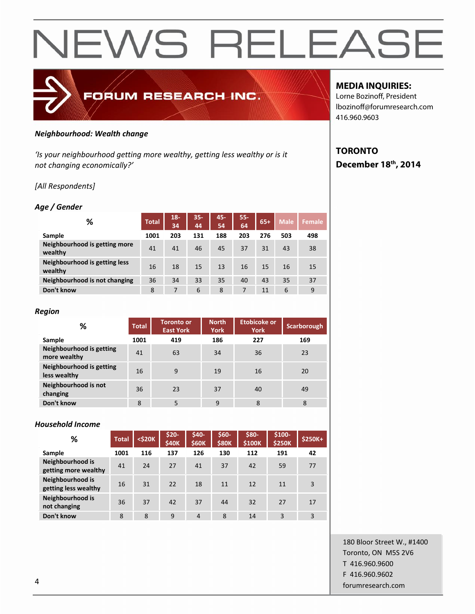

#### *Neighbourhood: Wealth change*

'Is your neighbourhood getting more wealthy, getting less wealthy or is it *not changing economically?'*

#### *[All Respondents]*

#### *Age / Gender*

| %                                        | <b>Total</b> | $18-$<br>34 | $35 -$<br>44 | 45-<br>54 | $55 -$<br>64 | $65+$ | <b>Male</b> | <b>Female</b> |
|------------------------------------------|--------------|-------------|--------------|-----------|--------------|-------|-------------|---------------|
| Sample                                   | 1001         | 203         | 131          | 188       | 203          | 276   | 503         | 498           |
| Neighbourhood is getting more<br>wealthy | 41           | 41          | 46           | 45        | 37           | 31    | 43          | 38            |
| Neighbourhood is getting less<br>wealthy | 16           | 18          | 15           | 13        | 16           | 15    | 16          | 15            |
| Neighbourhood is not changing            | 36           | 34          | 33           | 35        | 40           | 43    | 35          | 37            |
| Don't know                               | 8            | 7           | 6            | 8         | 7            | 11    | 6           | 9             |

#### *Region*

| %                                        | <b>Total</b> | <b>Toronto or</b><br><b>East York</b> | <b>North</b><br><b>York</b> | <b>Etobicoke or</b><br><b>York</b> | <b>Scarborough</b> |  |
|------------------------------------------|--------------|---------------------------------------|-----------------------------|------------------------------------|--------------------|--|
| Sample                                   | 1001         | 419                                   | 186                         | 227                                | 169                |  |
| Neighbourhood is getting<br>more wealthy | 41           | 63                                    | 34                          | 36                                 | 23                 |  |
| Neighbourhood is getting<br>less wealthy | 16           | 9                                     | 19                          | 16                                 | 20                 |  |
| Neighbourhood is not<br>changing         | 36           | 23                                    | 37                          | 40                                 | 49                 |  |
| Don't know                               | 8            | 5                                     | 9                           | 8                                  | 8                  |  |

#### *Household Income*

| %                                        | <b>Total</b> | $<$ \$20 $K$ | \$20-<br><b>\$40K</b> | \$40-<br><b>\$60K</b> | $$60-$<br><b>\$80K</b> | \$80-<br>\$100K | $$100-$<br><b>\$250K</b> | \$250K+ |
|------------------------------------------|--------------|--------------|-----------------------|-----------------------|------------------------|-----------------|--------------------------|---------|
| Sample                                   | 1001         | 116          | 137                   | 126                   | 130                    | 112             | 191                      | 42      |
| Neighbourhood is<br>getting more wealthy | 41           | 24           | 27                    | 41                    | 37                     | 42              | 59                       | 77      |
| Neighbourhood is<br>getting less wealthy | 16           | 31           | 22                    | 18                    | 11                     | 12              | 11                       | 3       |
| Neighbourhood is<br>not changing         | 36           | 37           | 42                    | 37                    | 44                     | 32              | 27                       | 17      |
| Don't know                               | 8            | 8            | 9                     | $\overline{4}$        | 8                      | 14              | 3                        | 3       |

#### **MEDIA INQUIRIES:**

Lorne Bozinoff, President lbozinoff@forumresearch.com 416.960.9603

## **TORONTO December 18th, 2014**